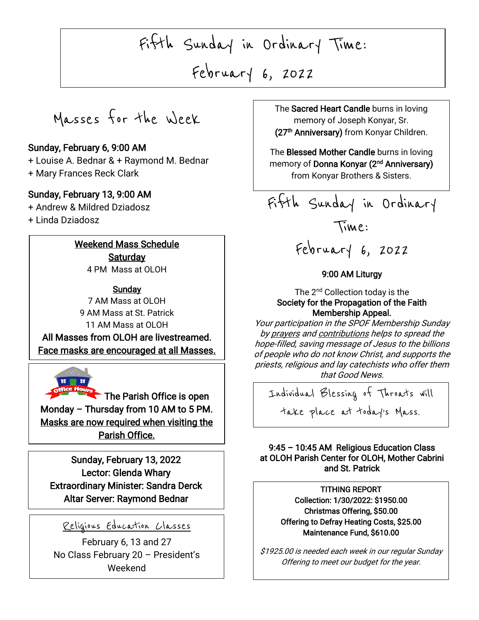Fifth Sunday in Ordinary Time:

New Year February 6, 2022

Masses for the Week

### Sunday, February 6, 9:00 AM

+ Louise A. Bednar & + Raymond M. Bednar + Mary Frances Reck Clark

### Sunday, February 13, 9:00 AM

+ Andrew & Mildred Dziadosz

+ Linda Dziadosz

I

I

I

I

-<br>آ

 $\overline{\phantom{a}}$ 

L

### Weekend Mass Schedule **Saturday**

4 PM Mass at OLOH

**Sunday** 7 AM Mass at OLOH 9 AM Mass at St. Patrick 11 AM Mass at OLOH All Masses from OLOH are livestreamed. Face masks are encouraged at all Masses.

The Parish Office is open Monday – Thursday from 10 AM to 5 PM. Masks are now required when visiting the Parish Office.

Sunday, February 13, 2022 Lector: Glenda Whary Extraordinary Minister: Sandra Derck Altar Server: Raymond Bednar

### Religious Education Classes

February 6, 13 and 27 No Class February 20 – President's Weekend

, 2021 The Sacred Heart Candle burns in loving memory of Joseph Konyar, Sr. (27<sup>th</sup> Anniversary) from Konyar Children.

> The **biessed Mother Candle** Burns in loving<br>memory of **Donna Konyar (2<sup>nd</sup> Anniversary)** The Blessed Mother Candle burns in loving from Konyar Brothers & Sisters.



# February 6, 2022

### 9:00 AM Liturgy

### The 2<sup>nd</sup> Collection today is the Society for the Propagation of the Faith Membership Appeal.

Your participation in the SPOF Membership Sunday by prayers and contributions helps to spread the hope-filled, saving message of Jesus to the billions of people who do not know Christ, and supports the priests, religious and lay catechists who offer them that Good News.

 take place at today's Mass.Individual Blessing of Throats will

### 9:45 – 10:45 AM Religious Education Class at OLOH Parish Center for OLOH, Mother Cabrini and St. Patrick

ֺ֖֚֝֬

 TITHING REPORT nection: 1750/2022. 31950.<br>Christmas Offering, \$50.00 Offering to Defray Heating Costs, \$25.00 Collection: 1/30/2022: \$1950.00 Maintenance Fund, \$610.00

\$1925.00 is needed each week in our regular Sunday Offering to meet our budget for the year.